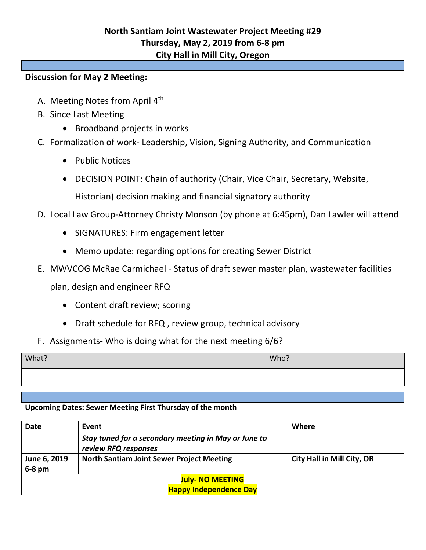## **Discussion for May 2 Meeting:**

- A. Meeting Notes from April 4<sup>th</sup>
- B. Since Last Meeting
	- Broadband projects in works
- C. Formalization of work- Leadership, Vision, Signing Authority, and Communication
	- Public Notices
	- DECISION POINT: Chain of authority (Chair, Vice Chair, Secretary, Website,

Historian) decision making and financial signatory authority

- D. Local Law Group-Attorney Christy Monson (by phone at 6:45pm), Dan Lawler will attend
	- SIGNATURES: Firm engagement letter
	- Memo update: regarding options for creating Sewer District
- E. MWVCOG McRae Carmichael Status of draft sewer master plan, wastewater facilities

plan, design and engineer RFQ

- Content draft review; scoring
- Draft schedule for RFQ , review group, technical advisory
- F. Assignments- Who is doing what for the next meeting 6/6?

| What? | Who? |
|-------|------|
|       |      |
|       |      |

## **Upcoming Dates: Sewer Meeting First Thursday of the month**

| Date                          | Event                                                                        | Where                             |  |
|-------------------------------|------------------------------------------------------------------------------|-----------------------------------|--|
|                               | Stay tuned for a secondary meeting in May or June to<br>review RFQ responses |                                   |  |
| June 6, 2019<br>$6-8$ pm      | <b>North Santiam Joint Sewer Project Meeting</b>                             | <b>City Hall in Mill City, OR</b> |  |
| <b>July- NO MEETING</b>       |                                                                              |                                   |  |
| <b>Happy Independence Day</b> |                                                                              |                                   |  |